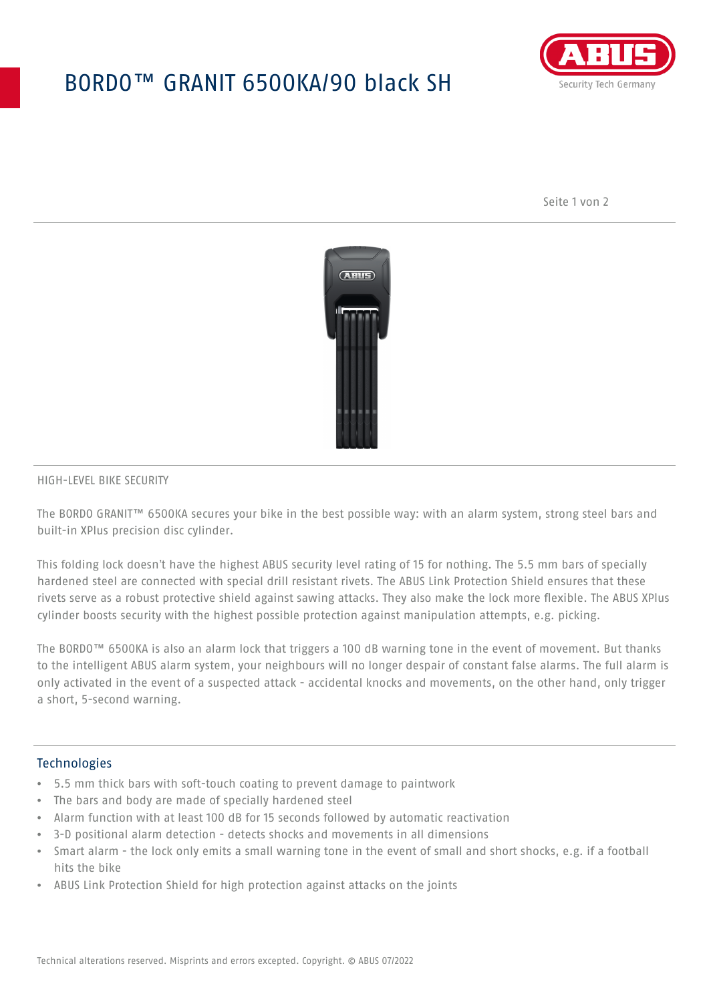# BORDO™ GRANIT 6500KA/90 black SH



Seite 1 von 2



### HIGH-LEVEL BIKE SECURITY

The BORDO GRANIT™ 6500KA secures your bike in the best possible way: with an alarm system, strong steel bars and built-in XPlus precision disc cylinder.

This folding lock doesn't have the highest ABUS security level rating of 15 for nothing. The 5.5 mm bars of specially hardened steel are connected with special drill resistant rivets. The ABUS Link Protection Shield ensures that these rivets serve as a robust protective shield against sawing attacks. They also make the lock more flexible. The ABUS XPlus cylinder boosts security with the highest possible protection against manipulation attempts, e.g. picking.

The BORDO™ 6500KA is also an alarm lock that triggers a 100 dB warning tone in the event of movement. But thanks to the intelligent ABUS alarm system, your neighbours will no longer despair of constant false alarms. The full alarm is only activated in the event of a suspected attack - accidental knocks and movements, on the other hand, only trigger a short, 5-second warning.

#### **Technologies**

- 5.5 mm thick bars with soft-touch coating to prevent damage to paintwork
- The bars and body are made of specially hardened steel
- Alarm function with at least 100 dB for 15 seconds followed by automatic reactivation
- 3-D positional alarm detection detects shocks and movements in all dimensions
- Smart alarm the lock only emits a small warning tone in the event of small and short shocks, e.g. if a football hits the bike
- ABUS Link Protection Shield for high protection against attacks on the joints